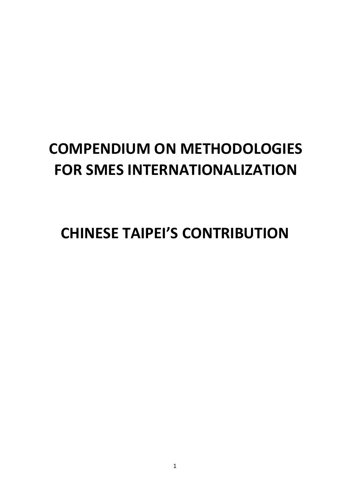# **COMPENDIUM ON METHODOLOGIES FOR SMES INTERNATIONALIZATION**

**CHINESE TAIPEI'S CONTRIBUTION**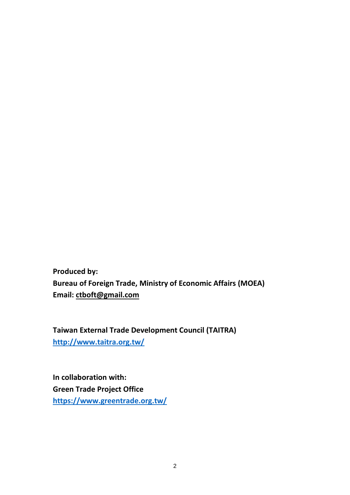**Produced by: Bureau of Foreign Trade, Ministry of Economic Affairs (MOEA) Email: [ctboft@gmail.com](mailto:ctboft@gmail.com)**

**Taiwan External Trade Development Council (TAITRA) <http://www.taitra.org.tw/>**

**In collaboration with: Green Trade Project Office <https://www.greentrade.org.tw/>**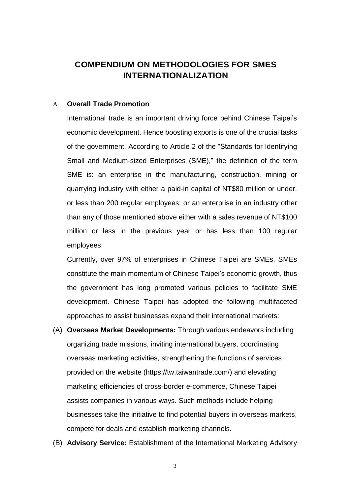# **COMPENDIUM ON METHODOLOGIES FOR SMES INTERNATIONALIZATION**

## A. **Overall Trade Promotion**

International trade is an important driving force behind Chinese Taipei's economic development. Hence boosting exports is one of the crucial tasks of the government. According to Article 2 of the "Standards for Identifying Small and Medium-sized Enterprises (SME)," the definition of the term SME is: an enterprise in the manufacturing, construction, mining or quarrying industry with either a paid-in capital of NT\$80 million or under, or less than 200 regular employees; or an enterprise in an industry other than any of those mentioned above either with a sales revenue of NT\$100 million or less in the previous year or has less than 100 regular employees.

Currently, over 97% of enterprises in Chinese Taipei are SMEs. SMEs constitute the main momentum of Chinese Taipei's economic growth, thus the government has long promoted various policies to facilitate SME development. Chinese Taipei has adopted the following multifaceted approaches to assist businesses expand their international markets:

- (A) **Overseas Market Developments:** Through various endeavors including organizing trade missions, inviting international buyers, coordinating overseas marketing activities, strengthening the functions of services provided on the website (https://tw.taiwantrade.com/) and elevating marketing efficiencies of cross-border e-commerce, Chinese Taipei assists companies in various ways. Such methods include helping businesses take the initiative to find potential buyers in overseas markets, compete for deals and establish marketing channels.
- (B) **Advisory Service:** Establishment of the International Marketing Advisory

3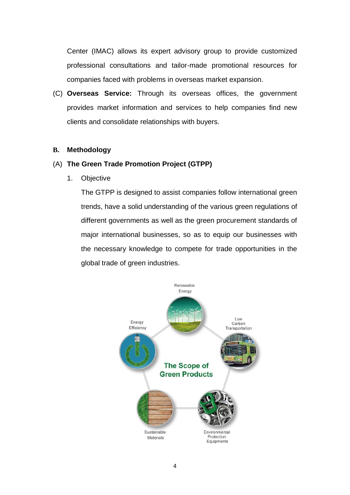Center (IMAC) allows its expert advisory group to provide customized professional consultations and tailor-made promotional resources for companies faced with problems in overseas market expansion.

(C) **Overseas Service:** Through its overseas offices, the government provides market information and services to help companies find new clients and consolidate relationships with buyers.

## **B. Methodology**

## (A) **The Green Trade Promotion Project (GTPP)**

1. Objective

The GTPP is designed to assist companies follow international green trends, have a solid understanding of the various green regulations of different governments as well as the green procurement standards of major international businesses, so as to equip our businesses with the necessary knowledge to compete for trade opportunities in the global trade of green industries.

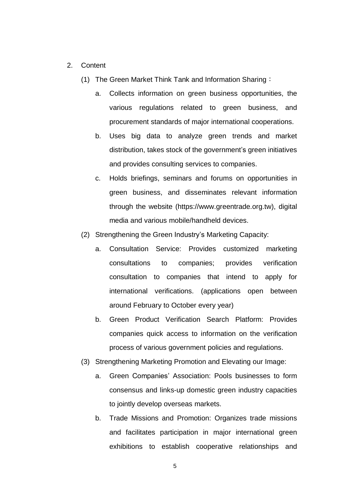- 2. Content
	- (1) The Green Market Think Tank and Information Sharing:
		- a. Collects information on green business opportunities, the various regulations related to green business, and procurement standards of major international cooperations.
		- b. Uses big data to analyze green trends and market distribution, takes stock of the government's green initiatives and provides consulting services to companies.
		- c. Holds briefings, seminars and forums on opportunities in green business, and disseminates relevant information through the website (https://www.greentrade.org.tw), digital media and various mobile/handheld devices.
	- (2) Strengthening the Green Industry's Marketing Capacity:
		- a. Consultation Service: Provides customized marketing consultations to companies; provides verification consultation to companies that intend to apply for international verifications. (applications open between around February to October every year)
		- b. Green Product Verification Search Platform: Provides companies quick access to information on the verification process of various government policies and regulations.
	- (3) Strengthening Marketing Promotion and Elevating our Image:
		- a. Green Companies' Association: Pools businesses to form consensus and links-up domestic green industry capacities to jointly develop overseas markets.
		- b. Trade Missions and Promotion: Organizes trade missions and facilitates participation in major international green exhibitions to establish cooperative relationships and

5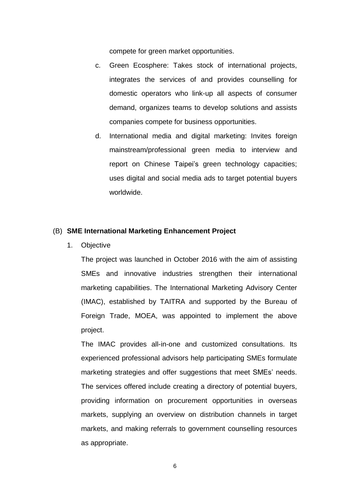compete for green market opportunities.

- c. Green Ecosphere: Takes stock of international projects, integrates the services of and provides counselling for domestic operators who link-up all aspects of consumer demand, organizes teams to develop solutions and assists companies compete for business opportunities.
- d. International media and digital marketing: Invites foreign mainstream/professional green media to interview and report on Chinese Taipei's green technology capacities; uses digital and social media ads to target potential buyers worldwide.

## (B) **SME International Marketing Enhancement Project**

1. Objective

The project was launched in October 2016 with the aim of assisting SMEs and innovative industries strengthen their international marketing capabilities. The International Marketing Advisory Center (IMAC), established by TAITRA and supported by the Bureau of Foreign Trade, MOEA, was appointed to implement the above project.

The IMAC provides all-in-one and customized consultations. Its experienced professional advisors help participating SMEs formulate marketing strategies and offer suggestions that meet SMEs' needs. The services offered include creating a directory of potential buyers, providing information on procurement opportunities in overseas markets, supplying an overview on distribution channels in target markets, and making referrals to government counselling resources as appropriate.

6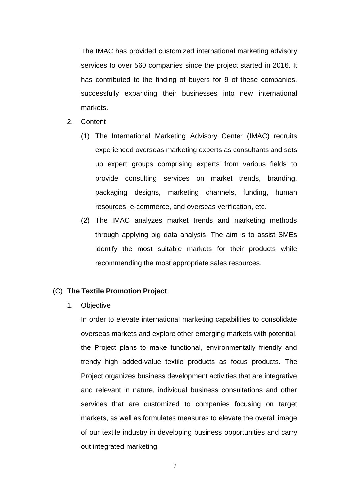The IMAC has provided customized international marketing advisory services to over 560 companies since the project started in 2016. It has contributed to the finding of buyers for 9 of these companies, successfully expanding their businesses into new international markets.

- 2. Content
	- (1) The International Marketing Advisory Center (IMAC) recruits experienced overseas marketing experts as consultants and sets up expert groups comprising experts from various fields to provide consulting services on market trends, branding, packaging designs, marketing channels, funding, human resources, e-commerce, and overseas verification, etc.
	- (2) The IMAC analyzes market trends and marketing methods through applying big data analysis. The aim is to assist SMEs identify the most suitable markets for their products while recommending the most appropriate sales resources.

## (C) **The Textile Promotion Project**

1. Objective

In order to elevate international marketing capabilities to consolidate overseas markets and explore other emerging markets with potential, the Project plans to make functional, environmentally friendly and trendy high added-value textile products as focus products. The Project organizes business development activities that are integrative and relevant in nature, individual business consultations and other services that are customized to companies focusing on target markets, as well as formulates measures to elevate the overall image of our textile industry in developing business opportunities and carry out integrated marketing.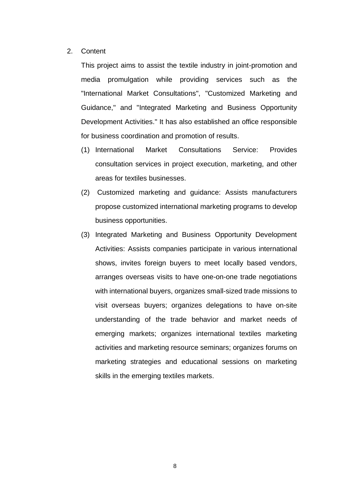2. Content

This project aims to assist the textile industry in joint-promotion and media promulgation while providing services such as the "International Market Consultations", "Customized Marketing and Guidance," and "Integrated Marketing and Business Opportunity Development Activities." It has also established an office responsible for business coordination and promotion of results.

- (1) International Market Consultations Service: Provides consultation services in project execution, marketing, and other areas for textiles businesses.
- (2) Customized marketing and guidance: Assists manufacturers propose customized international marketing programs to develop business opportunities.
- (3) Integrated Marketing and Business Opportunity Development Activities: Assists companies participate in various international shows, invites foreign buyers to meet locally based vendors, arranges overseas visits to have one-on-one trade negotiations with international buyers, organizes small-sized trade missions to visit overseas buyers; organizes delegations to have on-site understanding of the trade behavior and market needs of emerging markets; organizes international textiles marketing activities and marketing resource seminars; organizes forums on marketing strategies and educational sessions on marketing skills in the emerging textiles markets.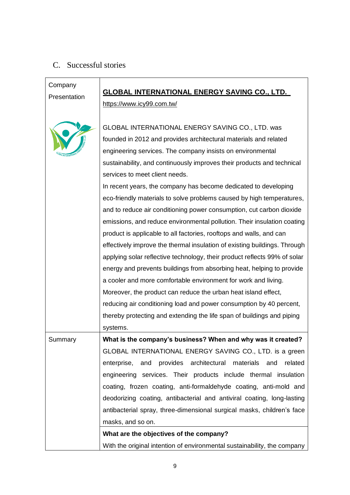# C. Successful stories

| Company      | <b>GLOBAL INTERNATIONAL ENERGY SAVING CO., LTD.</b>                       |
|--------------|---------------------------------------------------------------------------|
| Presentation | https://www.icy99.com.tw/                                                 |
|              |                                                                           |
|              | GLOBAL INTERNATIONAL ENERGY SAVING CO., LTD. was                          |
|              | founded in 2012 and provides architectural materials and related          |
|              | engineering services. The company insists on environmental                |
|              | sustainability, and continuously improves their products and technical    |
|              | services to meet client needs.                                            |
|              | In recent years, the company has become dedicated to developing           |
|              | eco-friendly materials to solve problems caused by high temperatures,     |
|              | and to reduce air conditioning power consumption, cut carbon dioxide      |
|              | emissions, and reduce environmental pollution. Their insulation coating   |
|              | product is applicable to all factories, rooftops and walls, and can       |
|              | effectively improve the thermal insulation of existing buildings. Through |
|              | applying solar reflective technology, their product reflects 99% of solar |
|              | energy and prevents buildings from absorbing heat, helping to provide     |
|              | a cooler and more comfortable environment for work and living.            |
|              | Moreover, the product can reduce the urban heat island effect,            |
|              | reducing air conditioning load and power consumption by 40 percent,       |
|              | thereby protecting and extending the life span of buildings and piping    |
|              | systems.                                                                  |
| Summary      | What is the company's business? When and why was it created?              |
|              | GLOBAL INTERNATIONAL ENERGY SAVING CO., LTD. is a green                   |
|              | enterprise, and provides architectural materials<br>and<br>related        |
|              | engineering services. Their products include thermal insulation           |
|              | coating, frozen coating, anti-formaldehyde coating, anti-mold and         |
|              | deodorizing coating, antibacterial and antiviral coating, long-lasting    |
|              | antibacterial spray, three-dimensional surgical masks, children's face    |
|              | masks, and so on.                                                         |
|              | What are the objectives of the company?                                   |
|              | With the original intention of environmental sustainability, the company  |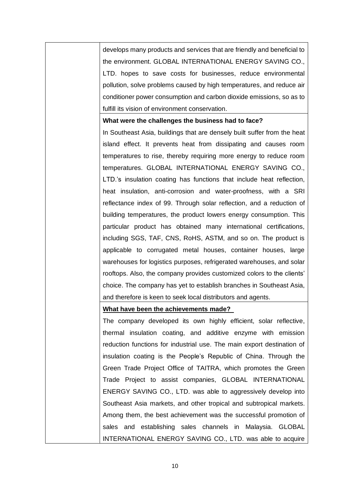develops many products and services that are friendly and beneficial to the environment. GLOBAL INTERNATIONAL ENERGY SAVING CO., LTD. hopes to save costs for businesses, reduce environmental pollution, solve problems caused by high temperatures, and reduce air conditioner power consumption and carbon dioxide emissions, so as to fulfill its vision of environment conservation.

## **What were the challenges the business had to face?**

In Southeast Asia, buildings that are densely built suffer from the heat island effect. It prevents heat from dissipating and causes room temperatures to rise, thereby requiring more energy to reduce room temperatures. GLOBAL INTERNATIONAL ENERGY SAVING CO., LTD.'s insulation coating has functions that include heat reflection, heat insulation, anti-corrosion and water-proofness, with a SRI reflectance index of 99. Through solar reflection, and a reduction of building temperatures, the product lowers energy consumption. This particular product has obtained many international certifications, including SGS, TAF, CNS, RoHS, ASTM, and so on. The product is applicable to corrugated metal houses, container houses, large warehouses for logistics purposes, refrigerated warehouses, and solar rooftops. Also, the company provides customized colors to the clients' choice. The company has yet to establish branches in Southeast Asia, and therefore is keen to seek local distributors and agents.

## **What have been the achievements made?**

The company developed its own highly efficient, solar reflective, thermal insulation coating, and additive enzyme with emission reduction functions for industrial use. The main export destination of insulation coating is the People's Republic of China. Through the Green Trade Project Office of TAITRA, which promotes the Green Trade Project to assist companies, GLOBAL INTERNATIONAL ENERGY SAVING CO., LTD. was able to aggressively develop into Southeast Asia markets, and other tropical and subtropical markets. Among them, the best achievement was the successful promotion of sales and establishing sales channels in Malaysia. GLOBAL INTERNATIONAL ENERGY SAVING CO., LTD. was able to acquire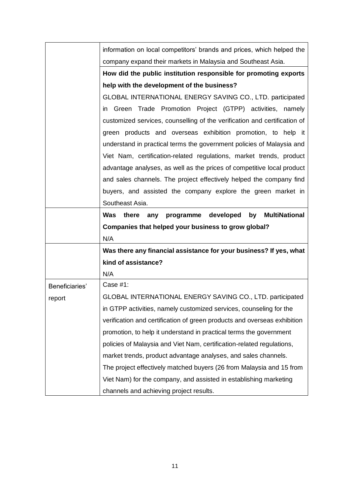|                | information on local competitors' brands and prices, which helped the       |
|----------------|-----------------------------------------------------------------------------|
|                | company expand their markets in Malaysia and Southeast Asia.                |
|                | How did the public institution responsible for promoting exports            |
|                | help with the development of the business?                                  |
|                | GLOBAL INTERNATIONAL ENERGY SAVING CO., LTD. participated                   |
|                | in Green Trade Promotion Project (GTPP) activities, namely                  |
|                | customized services, counselling of the verification and certification of   |
|                | green products and overseas exhibition promotion, to help it                |
|                | understand in practical terms the government policies of Malaysia and       |
|                | Viet Nam, certification-related regulations, market trends, product         |
|                | advantage analyses, as well as the prices of competitive local product      |
|                | and sales channels. The project effectively helped the company find         |
|                | buyers, and assisted the company explore the green market in                |
|                | Southeast Asia.                                                             |
|                | developed<br><b>MultiNational</b><br>Was<br>there<br>programme<br>by<br>any |
|                | Companies that helped your business to grow global?                         |
|                | N/A                                                                         |
|                | Was there any financial assistance for your business? If yes, what          |
|                |                                                                             |
|                | kind of assistance?                                                         |
|                | N/A                                                                         |
| Beneficiaries' | Case $#1$ :                                                                 |
| report         | GLOBAL INTERNATIONAL ENERGY SAVING CO., LTD. participated                   |
|                | in GTPP activities, namely customized services, counseling for the          |
|                | verification and certification of green products and overseas exhibition    |
|                | promotion, to help it understand in practical terms the government          |
|                | policies of Malaysia and Viet Nam, certification-related regulations,       |
|                | market trends, product advantage analyses, and sales channels.              |
|                | The project effectively matched buyers (26 from Malaysia and 15 from        |
|                | Viet Nam) for the company, and assisted in establishing marketing           |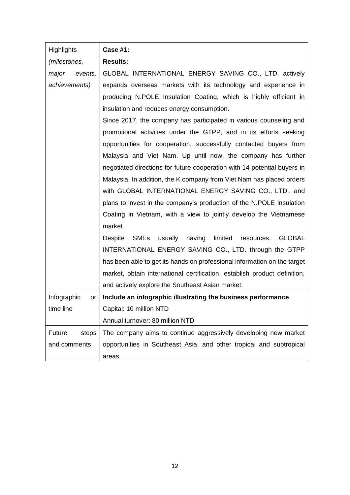| <b>Highlights</b> | <b>Case #1:</b>                                                             |
|-------------------|-----------------------------------------------------------------------------|
| (milestones,      | <b>Results:</b>                                                             |
| major<br>events,  | GLOBAL INTERNATIONAL ENERGY SAVING CO., LTD. actively                       |
| achievements)     | expands overseas markets with its technology and experience in              |
|                   | producing N.POLE Insulation Coating, which is highly efficient in           |
|                   | insulation and reduces energy consumption.                                  |
|                   | Since 2017, the company has participated in various counseling and          |
|                   | promotional activities under the GTPP, and in its efforts seeking           |
|                   | opportunities for cooperation, successfully contacted buyers from           |
|                   | Malaysia and Viet Nam. Up until now, the company has further                |
|                   | negotiated directions for future cooperation with 14 potential buyers in    |
|                   | Malaysia. In addition, the K company from Viet Nam has placed orders        |
|                   | with GLOBAL INTERNATIONAL ENERGY SAVING CO., LTD., and                      |
|                   | plans to invest in the company's production of the N.POLE Insulation        |
|                   | Coating in Vietnam, with a view to jointly develop the Vietnamese           |
|                   | market.                                                                     |
|                   | SMEs<br>usually<br>having<br>limited<br><b>Despite</b><br>resources, GLOBAL |
|                   | INTERNATIONAL ENERGY SAVING CO., LTD. through the GTPP                      |
|                   | has been able to get its hands on professional information on the target    |
|                   | market, obtain international certification, establish product definition,   |
|                   | and actively explore the Southeast Asian market.                            |
| Infographic<br>or | Include an infographic illustrating the business performance                |
| time line         | Capital: 10 million NTD                                                     |
|                   | Annual turnover: 80 million NTD                                             |
| Future<br>steps   | The company aims to continue aggressively developing new market             |
| and comments      | opportunities in Southeast Asia, and other tropical and subtropical         |
|                   | areas.                                                                      |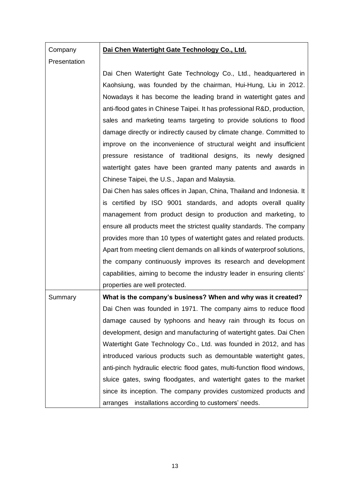## **Company Presentation**

## **Dai Chen Watertight Gate Technology Co., Ltd.**

Dai Chen Watertight Gate Technology Co., Ltd., headquartered in Kaohsiung, was founded by the chairman, Hui-Hung, Liu in 2012. Nowadays it has become the leading brand in watertight gates and anti-flood gates in Chinese Taipei. It has professional R&D, production, sales and marketing teams targeting to provide solutions to flood damage directly or indirectly caused by climate change. Committed to improve on the inconvenience of structural weight and insufficient pressure resistance of traditional designs, its newly designed watertight gates have been granted many patents and awards in Chinese Taipei, the U.S., Japan and Malaysia.

Dai Chen has sales offices in Japan, China, Thailand and Indonesia. It is certified by ISO 9001 standards, and adopts overall quality management from product design to production and marketing, to ensure all products meet the strictest quality standards. The company provides more than 10 types of watertight gates and related products. Apart from meeting client demands on all kinds of waterproof solutions, the company continuously improves its research and development capabilities, aiming to become the industry leader in ensuring clients' properties are well protected.

Summary **What is the company's business? When and why was it created?** Dai Chen was founded in 1971. The company aims to reduce flood damage caused by typhoons and heavy rain through its focus on development, design and manufacturing of watertight gates. Dai Chen Watertight Gate Technology Co., Ltd. was founded in 2012, and has introduced various products such as demountable watertight gates, anti-pinch hydraulic electric flood gates, multi-function flood windows, sluice gates, swing floodgates, and watertight gates to the market since its inception. The company provides customized products and arranges installations according to customers' needs.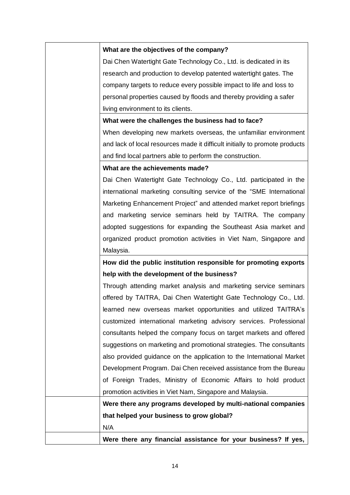## **What are the objectives of the company?**

Dai Chen Watertight Gate Technology Co., Ltd. is dedicated in its research and production to develop patented watertight gates. The company targets to reduce every possible impact to life and loss to personal properties caused by floods and thereby providing a safer living environment to its clients.

## **What were the challenges the business had to face?**

When developing new markets overseas, the unfamiliar environment and lack of local resources made it difficult initially to promote products and find local partners able to perform the construction.

## **What are the achievements made?**

Dai Chen Watertight Gate Technology Co., Ltd. participated in the international marketing consulting service of the "SME International Marketing Enhancement Project" and attended market report briefings and marketing service seminars held by TAITRA. The company adopted suggestions for expanding the Southeast Asia market and organized product promotion activities in Viet Nam, Singapore and Malaysia.

# **How did the public institution responsible for promoting exports help with the development of the business?**

Through attending market analysis and marketing service seminars offered by TAITRA, Dai Chen Watertight Gate Technology Co., Ltd. learned new overseas market opportunities and utilized TAITRA's customized international marketing advisory services. Professional consultants helped the company focus on target markets and offered suggestions on marketing and promotional strategies. The consultants also provided guidance on the application to the International Market Development Program. Dai Chen received assistance from the Bureau of Foreign Trades, Ministry of Economic Affairs to hold product promotion activities in Viet Nam, Singapore and Malaysia.

**Were there any programs developed by multi-national companies that helped your business to grow global?** 

N/A

**Were there any financial assistance for your business? If yes,**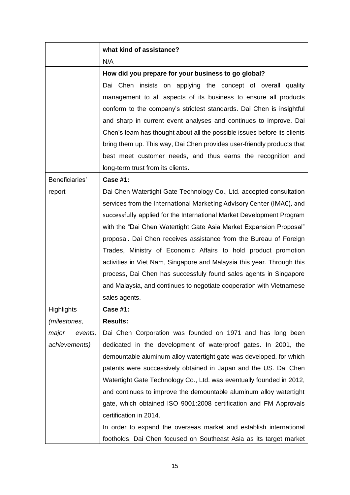|                   | what kind of assistance?                                                 |
|-------------------|--------------------------------------------------------------------------|
|                   | N/A                                                                      |
|                   | How did you prepare for your business to go global?                      |
|                   | Dai Chen insists on applying the concept of overall quality              |
|                   | management to all aspects of its business to ensure all products         |
|                   | conform to the company's strictest standards. Dai Chen is insightful     |
|                   | and sharp in current event analyses and continues to improve. Dai        |
|                   | Chen's team has thought about all the possible issues before its clients |
|                   | bring them up. This way, Dai Chen provides user-friendly products that   |
|                   | best meet customer needs, and thus earns the recognition and             |
|                   | long-term trust from its clients.                                        |
| Beneficiaries'    | <b>Case #1:</b>                                                          |
| report            | Dai Chen Watertight Gate Technology Co., Ltd. accepted consultation      |
|                   | services from the International Marketing Advisory Center (IMAC), and    |
|                   | successfully applied for the International Market Development Program    |
|                   | with the "Dai Chen Watertight Gate Asia Market Expansion Proposal"       |
|                   | proposal. Dai Chen receives assistance from the Bureau of Foreign        |
|                   | Trades, Ministry of Economic Affairs to hold product promotion           |
|                   | activities in Viet Nam, Singapore and Malaysia this year. Through this   |
|                   | process, Dai Chen has successfuly found sales agents in Singapore        |
|                   | and Malaysia, and continues to negotiate cooperation with Vietnamese     |
|                   | sales agents.                                                            |
| <b>Highlights</b> | <b>Case #1:</b>                                                          |
| (milestones,      | <b>Results:</b>                                                          |
| major<br>events,  | Dai Chen Corporation was founded on 1971 and has long been               |
| achievements)     | dedicated in the development of waterproof gates. In 2001, the           |
|                   | demountable aluminum alloy watertight gate was developed, for which      |
|                   | patents were successively obtained in Japan and the US. Dai Chen         |
|                   | Watertight Gate Technology Co., Ltd. was eventually founded in 2012,     |
|                   | and continues to improve the demountable aluminum alloy watertight       |
|                   | gate, which obtained ISO 9001:2008 certification and FM Approvals        |
|                   | certification in 2014.                                                   |
|                   | In order to expand the overseas market and establish international       |
|                   | footholds, Dai Chen focused on Southeast Asia as its target market       |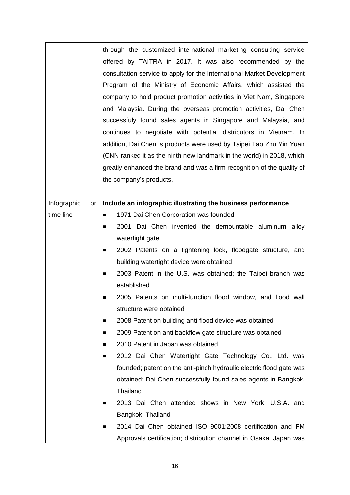|                   | through the customized international marketing consulting service<br>offered by TAITRA in 2017. It was also recommended by the<br>consultation service to apply for the International Market Development<br>Program of the Ministry of Economic Affairs, which assisted the<br>company to hold product promotion activities in Viet Nam, Singapore<br>and Malaysia. During the overseas promotion activities, Dai Chen<br>successfuly found sales agents in Singapore and Malaysia, and<br>continues to negotiate with potential distributors in Vietnam. In |
|-------------------|--------------------------------------------------------------------------------------------------------------------------------------------------------------------------------------------------------------------------------------------------------------------------------------------------------------------------------------------------------------------------------------------------------------------------------------------------------------------------------------------------------------------------------------------------------------|
|                   | addition, Dai Chen 's products were used by Taipei Tao Zhu Yin Yuan<br>(CNN ranked it as the ninth new landmark in the world) in 2018, which                                                                                                                                                                                                                                                                                                                                                                                                                 |
|                   | greatly enhanced the brand and was a firm recognition of the quality of                                                                                                                                                                                                                                                                                                                                                                                                                                                                                      |
|                   | the company's products.                                                                                                                                                                                                                                                                                                                                                                                                                                                                                                                                      |
|                   |                                                                                                                                                                                                                                                                                                                                                                                                                                                                                                                                                              |
| Infographic<br>or | Include an infographic illustrating the business performance                                                                                                                                                                                                                                                                                                                                                                                                                                                                                                 |
| time line         | 1971 Dai Chen Corporation was founded<br>п                                                                                                                                                                                                                                                                                                                                                                                                                                                                                                                   |
|                   | 2001 Dai Chen invented the demountable aluminum alloy<br>■                                                                                                                                                                                                                                                                                                                                                                                                                                                                                                   |
|                   | watertight gate                                                                                                                                                                                                                                                                                                                                                                                                                                                                                                                                              |
|                   | 2002 Patents on a tightening lock, floodgate structure, and<br>п                                                                                                                                                                                                                                                                                                                                                                                                                                                                                             |
|                   | building watertight device were obtained.                                                                                                                                                                                                                                                                                                                                                                                                                                                                                                                    |
|                   | 2003 Patent in the U.S. was obtained; the Taipei branch was<br>■                                                                                                                                                                                                                                                                                                                                                                                                                                                                                             |
|                   | established                                                                                                                                                                                                                                                                                                                                                                                                                                                                                                                                                  |
|                   | 2005 Patents on multi-function flood window, and flood wall<br>■                                                                                                                                                                                                                                                                                                                                                                                                                                                                                             |
|                   | structure were obtained                                                                                                                                                                                                                                                                                                                                                                                                                                                                                                                                      |
|                   | 2008 Patent on building anti-flood device was obtained<br>п                                                                                                                                                                                                                                                                                                                                                                                                                                                                                                  |
|                   | 2009 Patent on anti-backflow gate structure was obtained<br>п                                                                                                                                                                                                                                                                                                                                                                                                                                                                                                |
|                   | 2010 Patent in Japan was obtained<br>п                                                                                                                                                                                                                                                                                                                                                                                                                                                                                                                       |
|                   | 2012 Dai Chen Watertight Gate Technology Co., Ltd. was<br>■                                                                                                                                                                                                                                                                                                                                                                                                                                                                                                  |
|                   | founded; patent on the anti-pinch hydraulic electric flood gate was                                                                                                                                                                                                                                                                                                                                                                                                                                                                                          |
|                   | obtained; Dai Chen successfully found sales agents in Bangkok,<br>Thailand                                                                                                                                                                                                                                                                                                                                                                                                                                                                                   |
|                   | 2013 Dai Chen attended shows in New York, U.S.A. and<br>п                                                                                                                                                                                                                                                                                                                                                                                                                                                                                                    |
|                   | Bangkok, Thailand                                                                                                                                                                                                                                                                                                                                                                                                                                                                                                                                            |
|                   | 2014 Dai Chen obtained ISO 9001:2008 certification and FM<br>п                                                                                                                                                                                                                                                                                                                                                                                                                                                                                               |
|                   | Approvals certification; distribution channel in Osaka, Japan was                                                                                                                                                                                                                                                                                                                                                                                                                                                                                            |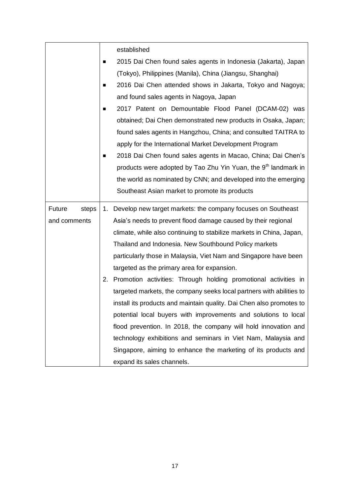|                 |   | established                                                                |
|-----------------|---|----------------------------------------------------------------------------|
|                 | п | 2015 Dai Chen found sales agents in Indonesia (Jakarta), Japan             |
|                 |   | (Tokyo), Philippines (Manila), China (Jiangsu, Shanghai)                   |
|                 | ■ | 2016 Dai Chen attended shows in Jakarta, Tokyo and Nagoya;                 |
|                 |   | and found sales agents in Nagoya, Japan                                    |
|                 | п | 2017 Patent on Demountable Flood Panel (DCAM-02) was                       |
|                 |   | obtained; Dai Chen demonstrated new products in Osaka, Japan;              |
|                 |   | found sales agents in Hangzhou, China; and consulted TAITRA to             |
|                 |   | apply for the International Market Development Program                     |
|                 | ■ | 2018 Dai Chen found sales agents in Macao, China; Dai Chen's               |
|                 |   | products were adopted by Tao Zhu Yin Yuan, the 9 <sup>th</sup> landmark in |
|                 |   | the world as nominated by CNN; and developed into the emerging             |
|                 |   | Southeast Asian market to promote its products                             |
| Future<br>steps |   | 1. Develop new target markets: the company focuses on Southeast            |
| and comments    |   | Asia's needs to prevent flood damage caused by their regional              |
|                 |   | climate, while also continuing to stabilize markets in China, Japan,       |
|                 |   | Thailand and Indonesia. New Southbound Policy markets                      |
|                 |   | particularly those in Malaysia, Viet Nam and Singapore have been           |
|                 |   | targeted as the primary area for expansion.                                |
|                 |   | 2. Promotion activities: Through holding promotional activities in         |
|                 |   | targeted markets, the company seeks local partners with abilities to       |
|                 |   | install its products and maintain quality. Dai Chen also promotes to       |
|                 |   | potential local buyers with improvements and solutions to local            |
|                 |   | flood prevention. In 2018, the company will hold innovation and            |
|                 |   | technology exhibitions and seminars in Viet Nam, Malaysia and              |
|                 |   | Singapore, aiming to enhance the marketing of its products and             |
|                 |   | expand its sales channels.                                                 |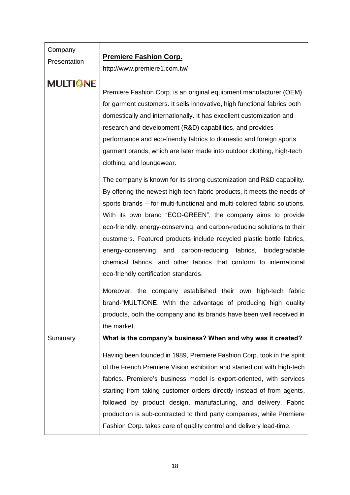| Company<br>Presentation | <b>Premiere Fashion Corp.</b>                                                                                                                                                                                                                                                                                                                                                                                                                                                                                                                                                                                                       |
|-------------------------|-------------------------------------------------------------------------------------------------------------------------------------------------------------------------------------------------------------------------------------------------------------------------------------------------------------------------------------------------------------------------------------------------------------------------------------------------------------------------------------------------------------------------------------------------------------------------------------------------------------------------------------|
|                         | http://www.premiere1.com.tw/                                                                                                                                                                                                                                                                                                                                                                                                                                                                                                                                                                                                        |
| <b>MULTIONE</b>         | Premiere Fashion Corp. is an original equipment manufacturer (OEM)<br>for garment customers. It sells innovative, high functional fabrics both<br>domestically and internationally. It has excellent customization and<br>research and development (R&D) capabilities, and provides<br>performance and eco-friendly fabrics to domestic and foreign sports<br>garment brands, which are later made into outdoor clothing, high-tech<br>clothing, and loungewear.                                                                                                                                                                    |
|                         | The company is known for its strong customization and R&D capability.<br>By offering the newest high-tech fabric products, it meets the needs of<br>sports brands – for multi-functional and multi-colored fabric solutions.<br>With its own brand "ECO-GREEN", the company aims to provide<br>eco-friendly, energy-conserving, and carbon-reducing solutions to their<br>customers. Featured products include recycled plastic bottle fabrics,<br>and carbon-reducing<br>fabrics, biodegradable<br>energy-conserving<br>chemical fabrics, and other fabrics that conform to international<br>eco-friendly certification standards. |
|                         | Moreover, the company established their own high-tech fabric<br>brand-"MULTIONE. With the advantage of producing high quality<br>products, both the company and its brands have been well received in<br>the market.                                                                                                                                                                                                                                                                                                                                                                                                                |
| Summary                 | What is the company's business? When and why was it created?                                                                                                                                                                                                                                                                                                                                                                                                                                                                                                                                                                        |
|                         | Having been founded in 1989, Premiere Fashion Corp. took in the spirit<br>of the French Premiere Vision exhibition and started out with high-tech<br>fabrics. Premiere's business model is export-oriented, with services<br>starting from taking customer orders directly instead of from agents,<br>followed by product design, manufacturing, and delivery. Fabric<br>production is sub-contracted to third party companies, while Premiere                                                                                                                                                                                      |
|                         | Fashion Corp. takes care of quality control and delivery lead-time.                                                                                                                                                                                                                                                                                                                                                                                                                                                                                                                                                                 |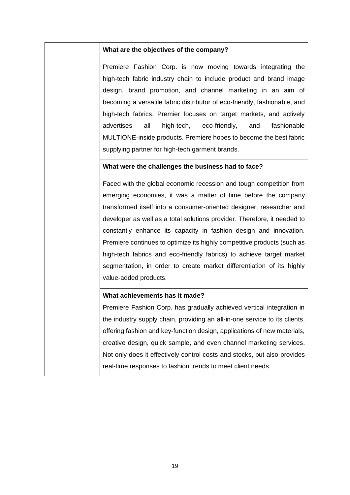## **What are the objectives of the company?**

Premiere Fashion Corp. is now moving towards integrating the high-tech fabric industry chain to include product and brand image design, brand promotion, and channel marketing in an aim of becoming a versatile fabric distributor of eco-friendly, fashionable, and high-tech fabrics. Premier focuses on target markets, and actively advertises all high-tech, eco-friendly, and fashionable MULTIONE-inside products. Premiere hopes to become the best fabric supplying partner for high-tech garment brands.

## **What were the challenges the business had to face?**

Faced with the global economic recession and tough competition from emerging economies, it was a matter of time before the company transformed itself into a consumer-oriented designer, researcher and developer as well as a total solutions provider. Therefore, it needed to constantly enhance its capacity in fashion design and innovation. Premiere continues to optimize its highly competitive products (such as high-tech fabrics and eco-friendly fabrics) to achieve target market segmentation, in order to create market differentiation of its highly value-added products.

## **What achievements has it made?**

Premiere Fashion Corp. has gradually achieved vertical integration in the industry supply chain, providing an all-in-one service to its clients, offering fashion and key-function design, applications of new materials, creative design, quick sample, and even channel marketing services. Not only does it effectively control costs and stocks, but also provides real-time responses to fashion trends to meet client needs.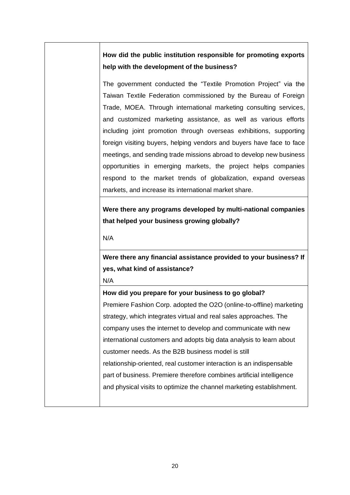# **How did the public institution responsible for promoting exports help with the development of the business?**

The government conducted the "Textile Promotion Project" via the Taiwan Textile Federation commissioned by the Bureau of Foreign Trade, MOEA. Through international marketing consulting services, and customized marketing assistance, as well as various efforts including joint promotion through overseas exhibitions, supporting foreign visiting buyers, helping vendors and buyers have face to face meetings, and sending trade missions abroad to develop new business opportunities in emerging markets, the project helps companies respond to the market trends of globalization, expand overseas markets, and increase its international market share.

**Were there any programs developed by multi-national companies that helped your business growing globally?** 

N/A

**Were there any financial assistance provided to your business? If yes, what kind of assistance?** 

N/A

**How did you prepare for your business to go global?**  Premiere Fashion Corp. adopted the O2O (online-to-offline) marketing strategy, which integrates virtual and real sales approaches. The company uses the internet to develop and communicate with new international customers and adopts big data analysis to learn about customer needs. As the B2B business model is still relationship-oriented, real customer interaction is an indispensable part of business. Premiere therefore combines artificial intelligence and physical visits to optimize the channel marketing establishment.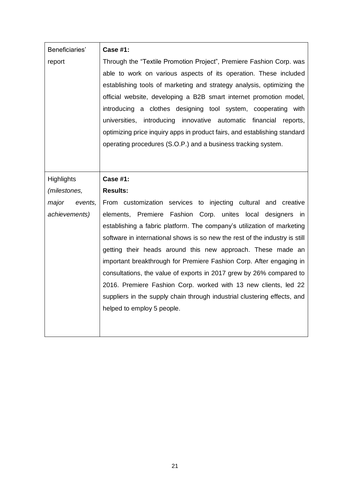| Beneficiaries'                    | <b>Case #1:</b>                                                                                                                                                                                                                                                                                                                                                                                                                                                                                                                                                                                                                                                                 |
|-----------------------------------|---------------------------------------------------------------------------------------------------------------------------------------------------------------------------------------------------------------------------------------------------------------------------------------------------------------------------------------------------------------------------------------------------------------------------------------------------------------------------------------------------------------------------------------------------------------------------------------------------------------------------------------------------------------------------------|
| report                            | Through the "Textile Promotion Project", Premiere Fashion Corp. was<br>able to work on various aspects of its operation. These included<br>establishing tools of marketing and strategy analysis, optimizing the<br>official website, developing a B2B smart internet promotion model,<br>introducing a clothes designing tool system, cooperating with<br>universities, introducing innovative automatic financial<br>reports,<br>optimizing price inquiry apps in product fairs, and establishing standard<br>operating procedures (S.O.P.) and a business tracking system.                                                                                                   |
| <b>Highlights</b>                 | <b>Case #1:</b>                                                                                                                                                                                                                                                                                                                                                                                                                                                                                                                                                                                                                                                                 |
| <i>(milestones,</i>               | <b>Results:</b>                                                                                                                                                                                                                                                                                                                                                                                                                                                                                                                                                                                                                                                                 |
| major<br>events,<br>achievements) | From customization services to injecting cultural and creative<br>elements, Premiere Fashion Corp. unites local designers in<br>establishing a fabric platform. The company's utilization of marketing<br>software in international shows is so new the rest of the industry is still<br>getting their heads around this new approach. These made an<br>important breakthrough for Premiere Fashion Corp. After engaging in<br>consultations, the value of exports in 2017 grew by 26% compared to<br>2016. Premiere Fashion Corp. worked with 13 new clients, led 22<br>suppliers in the supply chain through industrial clustering effects, and<br>helped to employ 5 people. |